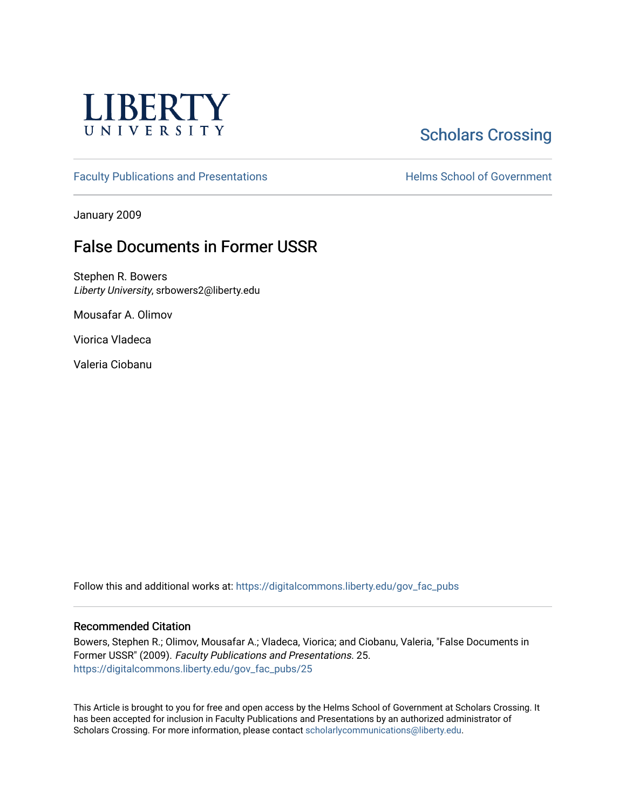

# **Scholars Crossing**

[Faculty Publications and Presentations](https://digitalcommons.liberty.edu/gov_fac_pubs) **Exercise School of Government** 

January 2009

## False Documents in Former USSR

Stephen R. Bowers Liberty University, srbowers2@liberty.edu

Mousafar A. Olimov

Viorica Vladeca

Valeria Ciobanu

Follow this and additional works at: [https://digitalcommons.liberty.edu/gov\\_fac\\_pubs](https://digitalcommons.liberty.edu/gov_fac_pubs?utm_source=digitalcommons.liberty.edu%2Fgov_fac_pubs%2F25&utm_medium=PDF&utm_campaign=PDFCoverPages)

#### Recommended Citation

Bowers, Stephen R.; Olimov, Mousafar A.; Vladeca, Viorica; and Ciobanu, Valeria, "False Documents in Former USSR" (2009). Faculty Publications and Presentations. 25. [https://digitalcommons.liberty.edu/gov\\_fac\\_pubs/25](https://digitalcommons.liberty.edu/gov_fac_pubs/25?utm_source=digitalcommons.liberty.edu%2Fgov_fac_pubs%2F25&utm_medium=PDF&utm_campaign=PDFCoverPages) 

This Article is brought to you for free and open access by the Helms School of Government at Scholars Crossing. It has been accepted for inclusion in Faculty Publications and Presentations by an authorized administrator of Scholars Crossing. For more information, please contact [scholarlycommunications@liberty.edu.](mailto:scholarlycommunications@liberty.edu)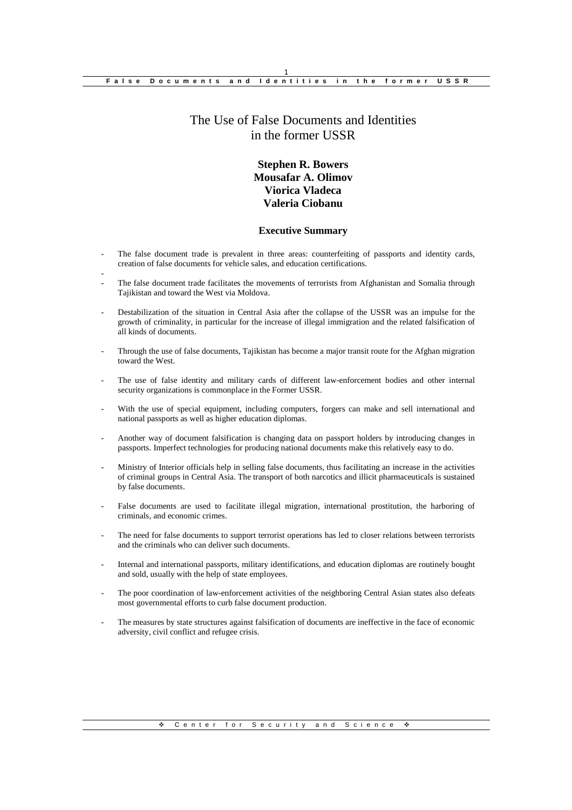## The Use of False Documents and Identities in the former USSR

## **Stephen R. Bowers Mousafar A. Olimov Viorica Vladeca Valeria Ciobanu**

#### **Executive Summary**

The false document trade is prevalent in three areas: counterfeiting of passports and identity cards, creation of false documents for vehicle sales, and education certifications.

-

- The false document trade facilitates the movements of terrorists from Afghanistan and Somalia through Tajikistan and toward the West via Moldova.
- Destabilization of the situation in Central Asia after the collapse of the USSR was an impulse for the growth of criminality, in particular for the increase of illegal immigration and the related falsification of all kinds of documents.
- Through the use of false documents, Tajikistan has become a major transit route for the Afghan migration toward the West.
- The use of false identity and military cards of different law-enforcement bodies and other internal security organizations is commonplace in the Former USSR.
- With the use of special equipment, including computers, forgers can make and sell international and national passports as well as higher education diplomas.
- Another way of document falsification is changing data on passport holders by introducing changes in passports. Imperfect technologies for producing national documents make this relatively easy to do.
- Ministry of Interior officials help in selling false documents, thus facilitating an increase in the activities of criminal groups in Central Asia. The transport of both narcotics and illicit pharmaceuticals is sustained by false documents.
- False documents are used to facilitate illegal migration, international prostitution, the harboring of criminals, and economic crimes.
- The need for false documents to support terrorist operations has led to closer relations between terrorists and the criminals who can deliver such documents.
- Internal and international passports, military identifications, and education diplomas are routinely bought and sold, usually with the help of state employees.
- The poor coordination of law-enforcement activities of the neighboring Central Asian states also defeats most governmental efforts to curb false document production.
- The measures by state structures against falsification of documents are ineffective in the face of economic adversity, civil conflict and refugee crisis.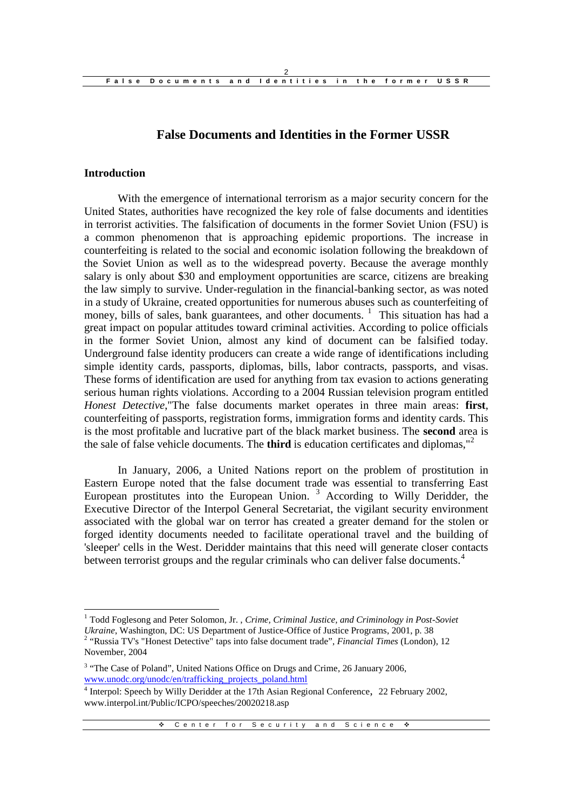## **False Documents and Identities in the Former USSR**

#### **Introduction**

With the emergence of international terrorism as a major security concern for the United States, authorities have recognized the key role of false documents and identities in terrorist activities. The falsification of documents in the former Soviet Union (FSU) is a common phenomenon that is approaching epidemic proportions. The increase in counterfeiting is related to the social and economic isolation following the breakdown of the Soviet Union as well as to the widespread poverty. Because the average monthly salary is only about \$30 and employment opportunities are scarce, citizens are breaking the law simply to survive. Under-regulation in the financial-banking sector, as was noted in a study of Ukraine, created opportunities for numerous abuses such as counterfeiting of money, bills of sales, bank guarantees, and other documents.  $\frac{1}{1}$  This situation has had a great impact on popular attitudes toward criminal activities. According to police officials in the former Soviet Union, almost any kind of document can be falsified today. Underground false identity producers can create a wide range of identifications including simple identity cards, passports, diplomas, bills, labor contracts, passports, and visas. These forms of identification are used for anything from tax evasion to actions generating serious human rights violations. According to a 2004 Russian television program entitled *Honest Detective*,"The false documents market operates in three main areas: **first**, counterfeiting of passports, registration forms, immigration forms and identity cards. This is the most profitable and lucrative part of the black market business. The **second** area is the sale of false vehicle documents. The **third** is education certificates and diplomas,"<sup>2</sup>

In January, 2006, a United Nations report on the problem of prostitution in Eastern Europe noted that the false document trade was essential to transferring East European prostitutes into the European Union.  $3$  According to Willy Deridder, the Executive Director of the Interpol General Secretariat, the vigilant security environment associated with the global war on terror has created a greater demand for the stolen or forged identity documents needed to facilitate operational travel and the building of 'sleeper' cells in the West. Deridder maintains that this need will generate closer contacts between terrorist groups and the regular criminals who can deliver false documents.<sup>4</sup>

<sup>1</sup> Todd Foglesong and Peter Solomon, Jr. , *Crime, Criminal Justice, and Criminology in Post-Soviet Ukraine*, Washington, DC: US Department of Justice-Office of Justice Programs, 2001, p. 38 2 "Russia TV's "Honest Detective" taps into false document trade", *Financial Times* (London), 12

November, 2004

<sup>&</sup>lt;sup>3</sup> "The Case of Poland", United Nations Office on Drugs and Crime, 26 January 2006, www.unodc.org/unodc/en/trafficking\_projects\_poland.html

<sup>&</sup>lt;sup>4</sup> Interpol: Speech by Willy Deridder at the 17th Asian Regional Conference, 22 February 2002, www.interpol.int/Public/ICPO/speeches/20020218.asp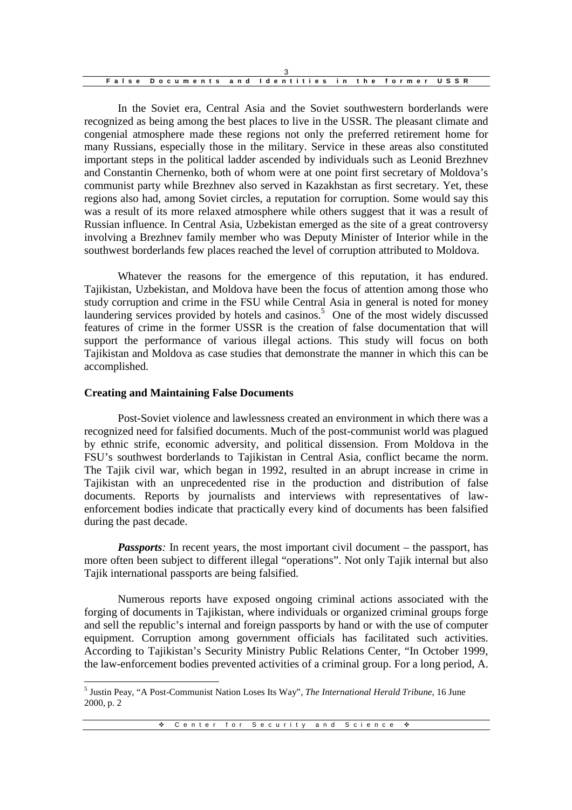| False Documents and Identities in the former USSR |  |  |  |  |
|---------------------------------------------------|--|--|--|--|

In the Soviet era, Central Asia and the Soviet southwestern borderlands were recognized as being among the best places to live in the USSR. The pleasant climate and congenial atmosphere made these regions not only the preferred retirement home for many Russians, especially those in the military. Service in these areas also constituted important steps in the political ladder ascended by individuals such as Leonid Brezhnev and Constantin Chernenko, both of whom were at one point first secretary of Moldova's communist party while Brezhnev also served in Kazakhstan as first secretary. Yet, these regions also had, among Soviet circles, a reputation for corruption. Some would say this was a result of its more relaxed atmosphere while others suggest that it was a result of Russian influence. In Central Asia, Uzbekistan emerged as the site of a great controversy involving a Brezhnev family member who was Deputy Minister of Interior while in the southwest borderlands few places reached the level of corruption attributed to Moldova.

Whatever the reasons for the emergence of this reputation, it has endured. Tajikistan, Uzbekistan, and Moldova have been the focus of attention among those who study corruption and crime in the FSU while Central Asia in general is noted for money laundering services provided by hotels and casinos.<sup>5</sup> One of the most widely discussed features of crime in the former USSR is the creation of false documentation that will support the performance of various illegal actions. This study will focus on both Tajikistan and Moldova as case studies that demonstrate the manner in which this can be accomplished.

#### **Creating and Maintaining False Documents**

Post-Soviet violence and lawlessness created an environment in which there was a recognized need for falsified documents. Much of the post-communist world was plagued by ethnic strife, economic adversity, and political dissension. From Moldova in the FSU's southwest borderlands to Tajikistan in Central Asia, conflict became the norm. The Tajik civil war, which began in 1992, resulted in an abrupt increase in crime in Tajikistan with an unprecedented rise in the production and distribution of false documents. Reports by journalists and interviews with representatives of lawenforcement bodies indicate that practically every kind of documents has been falsified during the past decade.

*Passports*: In recent years, the most important civil document – the passport, has more often been subject to different illegal "operations". Not only Tajik internal but also Tajik international passports are being falsified.

Numerous reports have exposed ongoing criminal actions associated with the forging of documents in Tajikistan, where individuals or organized criminal groups forge and sell the republic's internal and foreign passports by hand or with the use of computer equipment. Corruption among government officials has facilitated such activities. According to Tajikistan's Security Ministry Public Relations Center, "In October 1999, the law-enforcement bodies prevented activities of a criminal group. For a long period, A.

<sup>5</sup> Justin Peay, "A Post-Communist Nation Loses Its Way", *The International Herald Tribune*, 16 June 2000, p. 2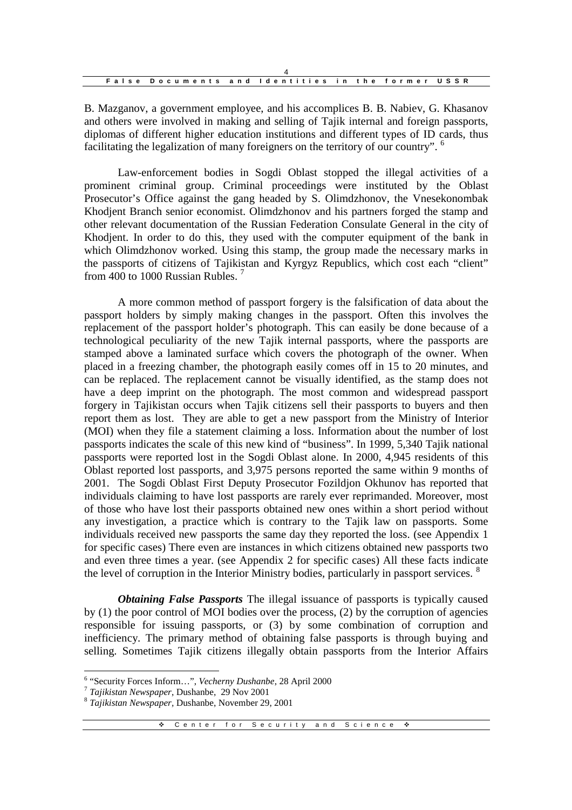|  | False Documents and Identities in the former USSR |  |  |  |  |
|--|---------------------------------------------------|--|--|--|--|

B. Mazganov, a government employee, and his accomplices B. B. Nabiev, G. Khasanov and others were involved in making and selling of Tajik internal and foreign passports, diplomas of different higher education institutions and different types of ID cards, thus facilitating the legalization of many foreigners on the territory of our country". <sup>6</sup>

Law-enforcement bodies in Sogdi Oblast stopped the illegal activities of a prominent criminal group. Criminal proceedings were instituted by the Oblast Prosecutor's Office against the gang headed by S. Olimdzhonov, the Vnesekonombak Khodjent Branch senior economist. Olimdzhonov and his partners forged the stamp and other relevant documentation of the Russian Federation Consulate General in the city of Khodjent. In order to do this, they used with the computer equipment of the bank in which Olimdzhonov worked. Using this stamp, the group made the necessary marks in the passports of citizens of Tajikistan and Kyrgyz Republics, which cost each "client" from 400 to 1000 Russian Rubles.<sup>7</sup>

A more common method of passport forgery is the falsification of data about the passport holders by simply making changes in the passport. Often this involves the replacement of the passport holder's photograph. This can easily be done because of a technological peculiarity of the new Tajik internal passports, where the passports are stamped above a laminated surface which covers the photograph of the owner. When placed in a freezing chamber, the photograph easily comes off in 15 to 20 minutes, and can be replaced. The replacement cannot be visually identified, as the stamp does not have a deep imprint on the photograph. The most common and widespread passport forgery in Tajikistan occurs when Tajik citizens sell their passports to buyers and then report them as lost. They are able to get a new passport from the Ministry of Interior (MOI) when they file a statement claiming a loss. Information about the number of lost passports indicates the scale of this new kind of "business". In 1999, 5,340 Tajik national passports were reported lost in the Sogdi Oblast alone. In 2000, 4,945 residents of this Oblast reported lost passports, and 3,975 persons reported the same within 9 months of 2001. The Sogdi Oblast First Deputy Prosecutor Fozildjon Okhunov has reported that individuals claiming to have lost passports are rarely ever reprimanded. Moreover, most of those who have lost their passports obtained new ones within a short period without any investigation, a practice which is contrary to the Tajik law on passports. Some individuals received new passports the same day they reported the loss. (see Appendix 1 for specific cases) There even are instances in which citizens obtained new passports two and even three times a year. (see Appendix 2 for specific cases) All these facts indicate the level of corruption in the Interior Ministry bodies, particularly in passport services. <sup>8</sup>

*Obtaining False Passports* The illegal issuance of passports is typically caused by (1) the poor control of MOI bodies over the process, (2) by the corruption of agencies responsible for issuing passports, or (3) by some combination of corruption and inefficiency. The primary method of obtaining false passports is through buying and selling. Sometimes Tajik citizens illegally obtain passports from the Interior Affairs

<sup>6</sup> "Security Forces Inform…", *Vecherny Dushanbe*, 28 April 2000

<sup>7</sup> *Tajikistan Newspaper*, Dushanbe, 29 Nov 2001

<sup>8</sup> *Tajikistan Newspaper,* Dushanbe, November 29, 2001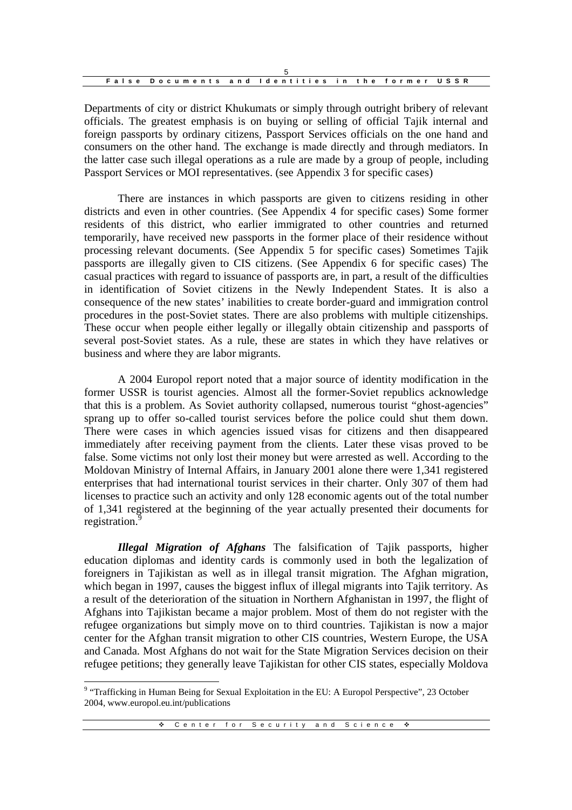|  | False Documents and Identities in the former USSR |
|--|---------------------------------------------------|

Departments of city or district Khukumats or simply through outright bribery of relevant officials. The greatest emphasis is on buying or selling of official Tajik internal and foreign passports by ordinary citizens, Passport Services officials on the one hand and consumers on the other hand. The exchange is made directly and through mediators. In the latter case such illegal operations as a rule are made by a group of people, including Passport Services or MOI representatives. (see Appendix 3 for specific cases)

There are instances in which passports are given to citizens residing in other districts and even in other countries. (See Appendix 4 for specific cases) Some former residents of this district, who earlier immigrated to other countries and returned temporarily, have received new passports in the former place of their residence without processing relevant documents. (See Appendix 5 for specific cases) Sometimes Tajik passports are illegally given to CIS citizens. (See Appendix 6 for specific cases) The casual practices with regard to issuance of passports are, in part, a result of the difficulties in identification of Soviet citizens in the Newly Independent States. It is also a consequence of the new states' inabilities to create border-guard and immigration control procedures in the post-Soviet states. There are also problems with multiple citizenships. These occur when people either legally or illegally obtain citizenship and passports of several post-Soviet states. As a rule, these are states in which they have relatives or business and where they are labor migrants.

A 2004 Europol report noted that a major source of identity modification in the former USSR is tourist agencies. Almost all the former-Soviet republics acknowledge that this is a problem. As Soviet authority collapsed, numerous tourist "ghost-agencies" sprang up to offer so-called tourist services before the police could shut them down. There were cases in which agencies issued visas for citizens and then disappeared immediately after receiving payment from the clients. Later these visas proved to be false. Some victims not only lost their money but were arrested as well. According to the Moldovan Ministry of Internal Affairs, in January 2001 alone there were 1,341 registered enterprises that had international tourist services in their charter. Only 307 of them had licenses to practice such an activity and only 128 economic agents out of the total number of 1,341 registered at the beginning of the year actually presented their documents for registration.<sup>9</sup>

*Illegal Migration of Afghans* The falsification of Tajik passports, higher education diplomas and identity cards is commonly used in both the legalization of foreigners in Tajikistan as well as in illegal transit migration. The Afghan migration, which began in 1997, causes the biggest influx of illegal migrants into Tajik territory. As a result of the deterioration of the situation in Northern Afghanistan in 1997, the flight of Afghans into Tajikistan became a major problem. Most of them do not register with the refugee organizations but simply move on to third countries. Tajikistan is now a major center for the Afghan transit migration to other CIS countries, Western Europe, the USA and Canada. Most Afghans do not wait for the State Migration Services decision on their refugee petitions; they generally leave Tajikistan for other CIS states, especially Moldova

<sup>&</sup>lt;sup>9</sup> "Trafficking in Human Being for Sexual Exploitation in the EU: A Europol Perspective", 23 October 2004, www.europol.eu.int/publications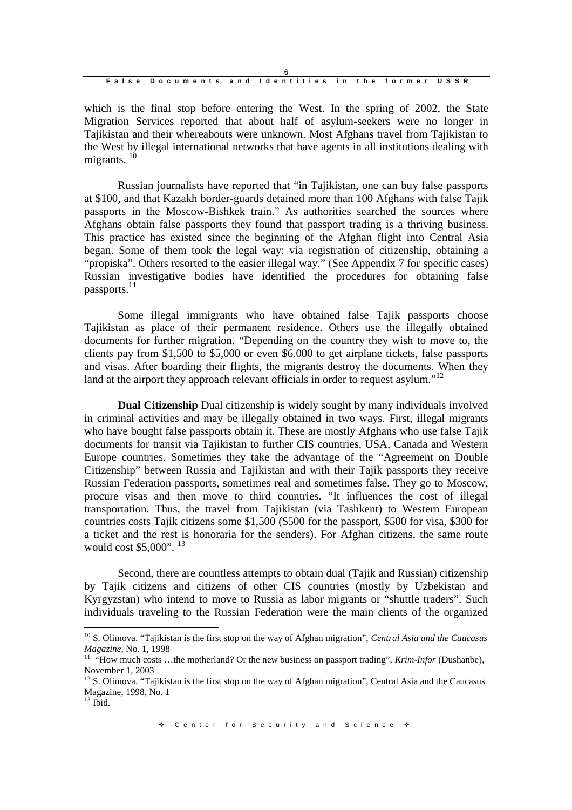| False Documents and Identities in the former USSR |  |  |  |
|---------------------------------------------------|--|--|--|

which is the final stop before entering the West. In the spring of 2002, the State Migration Services reported that about half of asylum-seekers were no longer in Tajikistan and their whereabouts were unknown. Most Afghans travel from Tajikistan to the West by illegal international networks that have agents in all institutions dealing with migrants.  $10$ 

Russian journalists have reported that "in Tajikistan, one can buy false passports at \$100, and that Kazakh border-guards detained more than 100 Afghans with false Tajik passports in the Moscow-Bishkek train." As authorities searched the sources where Afghans obtain false passports they found that passport trading is a thriving business. This practice has existed since the beginning of the Afghan flight into Central Asia began. Some of them took the legal way: via registration of citizenship, obtaining a "propiska". Others resorted to the easier illegal way." (See Appendix 7 for specific cases) Russian investigative bodies have identified the procedures for obtaining false passports.<sup>11</sup>

Some illegal immigrants who have obtained false Tajik passports choose Tajikistan as place of their permanent residence. Others use the illegally obtained documents for further migration. "Depending on the country they wish to move to, the clients pay from \$1,500 to \$5,000 or even \$6.000 to get airplane tickets, false passports and visas. After boarding their flights, the migrants destroy the documents. When they land at the airport they approach relevant officials in order to request asylum."<sup>12</sup>

**Dual Citizenship** Dual citizenship is widely sought by many individuals involved in criminal activities and may be illegally obtained in two ways. First, illegal migrants who have bought false passports obtain it. These are mostly Afghans who use false Tajik documents for transit via Tajikistan to further CIS countries, USA, Canada and Western Europe countries. Sometimes they take the advantage of the "Agreement on Double Citizenship" between Russia and Tajikistan and with their Tajik passports they receive Russian Federation passports, sometimes real and sometimes false. They go to Moscow, procure visas and then move to third countries. "It influences the cost of illegal transportation. Thus, the travel from Tajikistan (via Tashkent) to Western European countries costs Tajik citizens some \$1,500 (\$500 for the passport, \$500 for visa, \$300 for a ticket and the rest is honoraria for the senders). For Afghan citizens, the same route would cost \$5,000". <sup>13</sup>

Second, there are countless attempts to obtain dual (Tajik and Russian) citizenship by Tajik citizens and citizens of other CIS countries (mostly by Uzbekistan and Kyrgyzstan) who intend to move to Russia as labor migrants or "shuttle traders". Such individuals traveling to the Russian Federation were the main clients of the organized

<sup>10</sup> S. Olimova. "Tajikistan is the first stop on the way of Afghan migration", *Central Asia and the Caucasus Magazine*, No. 1, 1998

<sup>11</sup> "How much costs …the motherland? Or the new business on passport trading", *Krim-Infor* (Dushanbe), November 1, 2003

 $12$  S. Olimova. "Tajikistan is the first stop on the way of Afghan migration", Central Asia and the Caucasus Magazine, 1998, No. 1

 $13$  Ibid.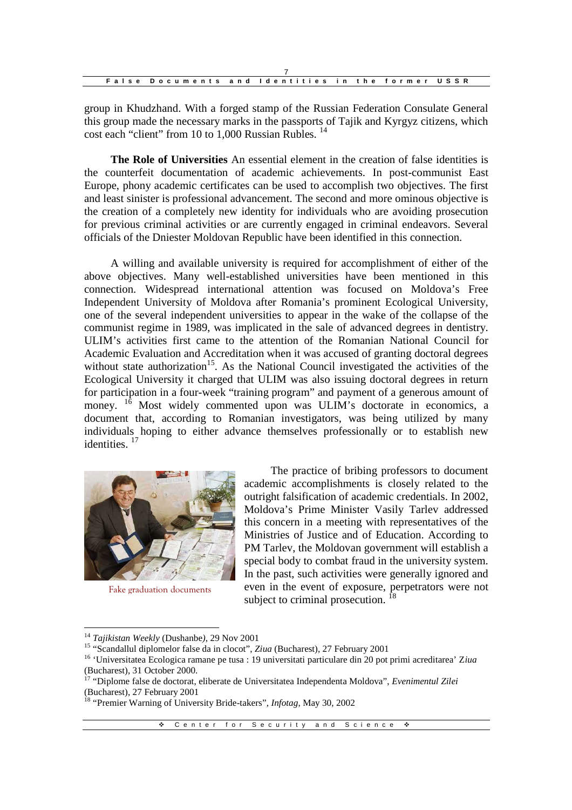| False Documents and Identities in the former USSR |  |  |  |
|---------------------------------------------------|--|--|--|

group in Khudzhand. With a forged stamp of the Russian Federation Consulate General this group made the necessary marks in the passports of Tajik and Kyrgyz citizens, which cost each "client" from 10 to 1,000 Russian Rubles. <sup>14</sup>

**The Role of Universities** An essential element in the creation of false identities is the counterfeit documentation of academic achievements. In post-communist East Europe, phony academic certificates can be used to accomplish two objectives. The first and least sinister is professional advancement. The second and more ominous objective is the creation of a completely new identity for individuals who are avoiding prosecution for previous criminal activities or are currently engaged in criminal endeavors. Several officials of the Dniester Moldovan Republic have been identified in this connection.

A willing and available university is required for accomplishment of either of the above objectives. Many well-established universities have been mentioned in this connection. Widespread international attention was focused on Moldova's Free Independent University of Moldova after Romania's prominent Ecological University, one of the several independent universities to appear in the wake of the collapse of the communist regime in 1989, was implicated in the sale of advanced degrees in dentistry. ULIM's activities first came to the attention of the Romanian National Council for Academic Evaluation and Accreditation when it was accused of granting doctoral degrees without state authorization<sup>15</sup>. As the National Council investigated the activities of the Ecological University it charged that ULIM was also issuing doctoral degrees in return for participation in a four-week "training program" and payment of a generous amount of money. <sup>16</sup> Most widely commented upon was ULIM's doctorate in economics, a document that, according to Romanian investigators, was being utilized by many individuals hoping to either advance themselves professionally or to establish new identities.<sup>17</sup>



Fake graduation documents

The practice of bribing professors to document academic accomplishments is closely related to the outright falsification of academic credentials. In 2002, Moldova's Prime Minister Vasily Tarlev addressed this concern in a meeting with representatives of the Ministries of Justice and of Education. According to PM Tarlev, the Moldovan government will establish a special body to combat fraud in the university system. In the past, such activities were generally ignored and even in the event of exposure, perpetrators were not subject to criminal prosecution. 18

<sup>14</sup> *Tajikistan Weekly* (Dushanbe*)*, 29 Nov 2001

<sup>15</sup> "Scandallul diplomelor false da in clocot", *Ziua* (Bucharest), 27 February 2001

<sup>16</sup> 'Universitatea Ecologica ramane pe tusa : 19 universitati particulare din 20 pot primi acreditarea' Z*iua* (Bucharest), 31 October 2000.

<sup>17</sup> "Diplome false de doctorat, eliberate de Universitatea Independenta Moldova", *Evenimentul Zilei* (Bucharest), 27 February 2001

<sup>18</sup> "Premier Warning of University Bride-takers", *Infotag*, May 30, 2002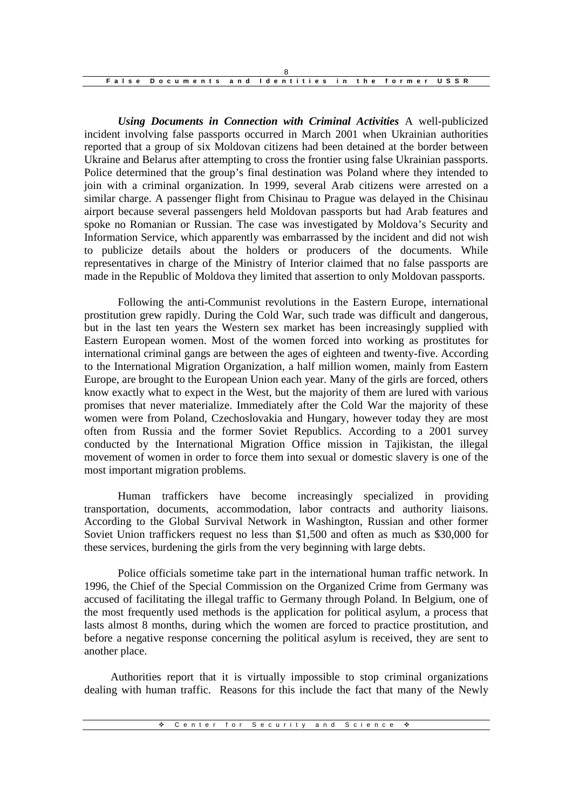| False Documents and Identities in the former USSR |  |  |  |
|---------------------------------------------------|--|--|--|

*Using Documents in Connection with Criminal Activities* A well-publicized incident involving false passports occurred in March 2001 when Ukrainian authorities reported that a group of six Moldovan citizens had been detained at the border between Ukraine and Belarus after attempting to cross the frontier using false Ukrainian passports. Police determined that the group's final destination was Poland where they intended to join with a criminal organization. In 1999, several Arab citizens were arrested on a similar charge. A passenger flight from Chisinau to Prague was delayed in the Chisinau airport because several passengers held Moldovan passports but had Arab features and spoke no Romanian or Russian. The case was investigated by Moldova's Security and Information Service, which apparently was embarrassed by the incident and did not wish to publicize details about the holders or producers of the documents. While representatives in charge of the Ministry of Interior claimed that no false passports are made in the Republic of Moldova they limited that assertion to only Moldovan passports.

Following the anti-Communist revolutions in the Eastern Europe, international prostitution grew rapidly. During the Cold War, such trade was difficult and dangerous, but in the last ten years the Western sex market has been increasingly supplied with Eastern European women. Most of the women forced into working as prostitutes for international criminal gangs are between the ages of eighteen and twenty-five. According to the International Migration Organization, a half million women, mainly from Eastern Europe, are brought to the European Union each year. Many of the girls are forced, others know exactly what to expect in the West, but the majority of them are lured with various promises that never materialize. Immediately after the Cold War the majority of these women were from Poland, Czechoslovakia and Hungary, however today they are most often from Russia and the former Soviet Republics. According to a 2001 survey conducted by the International Migration Office mission in Tajikistan, the illegal movement of women in order to force them into sexual or domestic slavery is one of the most important migration problems.

Human traffickers have become increasingly specialized in providing transportation, documents, accommodation, labor contracts and authority liaisons. According to the Global Survival Network in Washington, Russian and other former Soviet Union traffickers request no less than \$1,500 and often as much as \$30,000 for these services, burdening the girls from the very beginning with large debts.

Police officials sometime take part in the international human traffic network. In 1996, the Chief of the Special Commission on the Organized Crime from Germany was accused of facilitating the illegal traffic to Germany through Poland. In Belgium, one of the most frequently used methods is the application for political asylum, a process that lasts almost 8 months, during which the women are forced to practice prostitution, and before a negative response concerning the political asylum is received, they are sent to another place.

Authorities report that it is virtually impossible to stop criminal organizations dealing with human traffic. Reasons for this include the fact that many of the Newly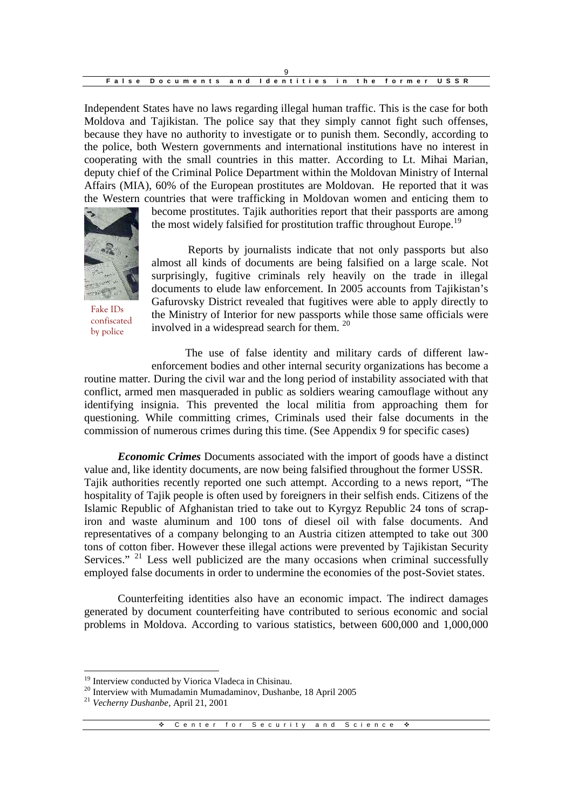| False Documents and Identities in the former USSR |  |  |  |
|---------------------------------------------------|--|--|--|

Independent States have no laws regarding illegal human traffic. This is the case for both Moldova and Tajikistan. The police say that they simply cannot fight such offenses, because they have no authority to investigate or to punish them. Secondly, according to the police, both Western governments and international institutions have no interest in cooperating with the small countries in this matter. According to Lt. Mihai Marian, deputy chief of the Criminal Police Department within the Moldovan Ministry of Internal Affairs (MIA), 60% of the European prostitutes are Moldovan. He reported that it was the Western countries that were trafficking in Moldovan women and enticing them to



Fake IDs confiscated by police

become prostitutes. Tajik authorities report that their passports are among the most widely falsified for prostitution traffic throughout Europe.<sup>19</sup>

Reports by journalists indicate that not only passports but also almost all kinds of documents are being falsified on a large scale. Not surprisingly, fugitive criminals rely heavily on the trade in illegal documents to elude law enforcement. In 2005 accounts from Tajikistan's Gafurovsky District revealed that fugitives were able to apply directly to the Ministry of Interior for new passports while those same officials were involved in a widespread search for them. <sup>20</sup>

The use of false identity and military cards of different lawenforcement bodies and other internal security organizations has become a

routine matter. During the civil war and the long period of instability associated with that conflict, armed men masqueraded in public as soldiers wearing camouflage without any identifying insignia. This prevented the local militia from approaching them for questioning. While committing crimes, Criminals used their false documents in the commission of numerous crimes during this time. (See Appendix 9 for specific cases)

*Economic Crimes* Documents associated with the import of goods have a distinct value and, like identity documents, are now being falsified throughout the former USSR. Tajik authorities recently reported one such attempt. According to a news report, "The hospitality of Tajik people is often used by foreigners in their selfish ends. Citizens of the Islamic Republic of Afghanistan tried to take out to Kyrgyz Republic 24 tons of scrapiron and waste aluminum and 100 tons of diesel oil with false documents. And representatives of a company belonging to an Austria citizen attempted to take out 300 tons of cotton fiber. However these illegal actions were prevented by Tajikistan Security Services." <sup>21</sup> Less well publicized are the many occasions when criminal successfully employed false documents in order to undermine the economies of the post-Soviet states.

Counterfeiting identities also have an economic impact. The indirect damages generated by document counterfeiting have contributed to serious economic and social problems in Moldova. According to various statistics, between 600,000 and 1,000,000

<sup>&</sup>lt;sup>19</sup> Interview conducted by Viorica Vladeca in Chisinau.

<sup>&</sup>lt;sup>20</sup> Interview with Mumadamin Mumadaminov, Dushanbe, 18 April 2005

<sup>21</sup> *Vecherny Dushanbe*, April 21, 2001

<sup>\*</sup> Center for Security and Science \*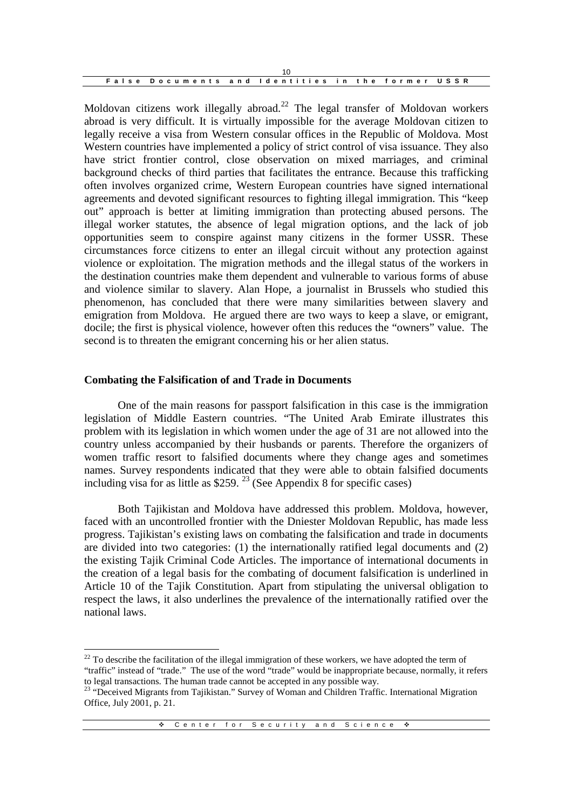| False Documents and Identities in the former USSR |  |  |  |
|---------------------------------------------------|--|--|--|

Moldovan citizens work illegally abroad.<sup>22</sup> The legal transfer of Moldovan workers abroad is very difficult. It is virtually impossible for the average Moldovan citizen to legally receive a visa from Western consular offices in the Republic of Moldova. Most Western countries have implemented a policy of strict control of visa issuance. They also have strict frontier control, close observation on mixed marriages, and criminal background checks of third parties that facilitates the entrance. Because this trafficking often involves organized crime, Western European countries have signed international agreements and devoted significant resources to fighting illegal immigration. This "keep out" approach is better at limiting immigration than protecting abused persons. The illegal worker statutes, the absence of legal migration options, and the lack of job opportunities seem to conspire against many citizens in the former USSR. These circumstances force citizens to enter an illegal circuit without any protection against violence or exploitation. The migration methods and the illegal status of the workers in the destination countries make them dependent and vulnerable to various forms of abuse and violence similar to slavery. Alan Hope, a journalist in Brussels who studied this phenomenon, has concluded that there were many similarities between slavery and emigration from Moldova. He argued there are two ways to keep a slave, or emigrant, docile; the first is physical violence, however often this reduces the "owners" value. The second is to threaten the emigrant concerning his or her alien status.

#### **Combating the Falsification of and Trade in Documents**

One of the main reasons for passport falsification in this case is the immigration legislation of Middle Eastern countries. "The United Arab Emirate illustrates this problem with its legislation in which women under the age of 31 are not allowed into the country unless accompanied by their husbands or parents. Therefore the organizers of women traffic resort to falsified documents where they change ages and sometimes names. Survey respondents indicated that they were able to obtain falsified documents including visa for as little as \$259. <sup>23</sup> (See Appendix 8 for specific cases)

Both Tajikistan and Moldova have addressed this problem. Moldova, however, faced with an uncontrolled frontier with the Dniester Moldovan Republic, has made less progress. Tajikistan's existing laws on combating the falsification and trade in documents are divided into two categories: (1) the internationally ratified legal documents and (2) the existing Tajik Criminal Code Articles. The importance of international documents in the creation of a legal basis for the combating of document falsification is underlined in Article 10 of the Tajik Constitution. Apart from stipulating the universal obligation to respect the laws, it also underlines the prevalence of the internationally ratified over the national laws.

 $22$  To describe the facilitation of the illegal immigration of these workers, we have adopted the term of "traffic" instead of "trade." The use of the word "trade" would be inappropriate because, normally, it refers to legal transactions. The human trade cannot be accepted in any possible way.

<sup>&</sup>lt;sup>23</sup> "Deceived Migrants from Tajikistan." Survey of Woman and Children Traffic. International Migration Office, July 2001, p. 21.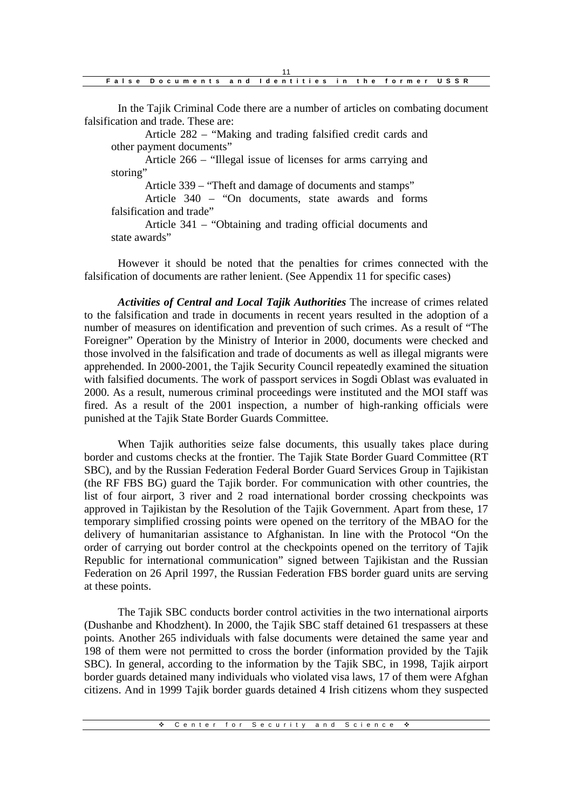| False Documents and Identities in the former USSR |  |  |  |
|---------------------------------------------------|--|--|--|

In the Tajik Criminal Code there are a number of articles on combating document falsification and trade. These are:

Article 282 – "Making and trading falsified credit cards and other payment documents"

Article 266 – "Illegal issue of licenses for arms carrying and storing"

Article 339 – "Theft and damage of documents and stamps"

Article 340 – "On documents, state awards and forms falsification and trade"

Article 341 – "Obtaining and trading official documents and state awards"

However it should be noted that the penalties for crimes connected with the falsification of documents are rather lenient. (See Appendix 11 for specific cases)

*Activities of Central and Local Tajik Authorities* The increase of crimes related to the falsification and trade in documents in recent years resulted in the adoption of a number of measures on identification and prevention of such crimes. As a result of "The Foreigner" Operation by the Ministry of Interior in 2000, documents were checked and those involved in the falsification and trade of documents as well as illegal migrants were apprehended. In 2000-2001, the Tajik Security Council repeatedly examined the situation with falsified documents. The work of passport services in Sogdi Oblast was evaluated in 2000. As a result, numerous criminal proceedings were instituted and the MOI staff was fired. As a result of the 2001 inspection, a number of high-ranking officials were punished at the Tajik State Border Guards Committee.

When Tajik authorities seize false documents, this usually takes place during border and customs checks at the frontier. The Tajik State Border Guard Committee (RT SBC), and by the Russian Federation Federal Border Guard Services Group in Tajikistan (the RF FBS BG) guard the Tajik border. For communication with other countries, the list of four airport, 3 river and 2 road international border crossing checkpoints was approved in Tajikistan by the Resolution of the Tajik Government. Apart from these, 17 temporary simplified crossing points were opened on the territory of the MBAO for the delivery of humanitarian assistance to Afghanistan. In line with the Protocol "On the order of carrying out border control at the checkpoints opened on the territory of Tajik Republic for international communication" signed between Tajikistan and the Russian Federation on 26 April 1997, the Russian Federation FBS border guard units are serving at these points.

The Tajik SBC conducts border control activities in the two international airports (Dushanbe and Khodzhent). In 2000, the Tajik SBC staff detained 61 trespassers at these points. Another 265 individuals with false documents were detained the same year and 198 of them were not permitted to cross the border (information provided by the Tajik SBC). In general, according to the information by the Tajik SBC, in 1998, Tajik airport border guards detained many individuals who violated visa laws, 17 of them were Afghan citizens. And in 1999 Tajik border guards detained 4 Irish citizens whom they suspected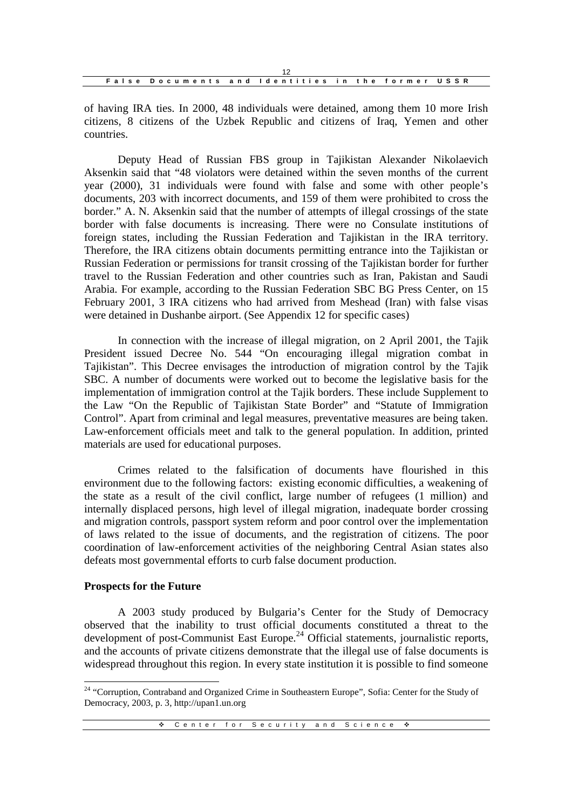| False Documents and Identities in the former USSR |  |  |  |
|---------------------------------------------------|--|--|--|

of having IRA ties. In 2000, 48 individuals were detained, among them 10 more Irish citizens, 8 citizens of the Uzbek Republic and citizens of Iraq, Yemen and other countries.

Deputy Head of Russian FBS group in Tajikistan Alexander Nikolaevich Aksenkin said that "48 violators were detained within the seven months of the current year (2000), 31 individuals were found with false and some with other people's documents, 203 with incorrect documents, and 159 of them were prohibited to cross the border." A. N. Aksenkin said that the number of attempts of illegal crossings of the state border with false documents is increasing. There were no Consulate institutions of foreign states, including the Russian Federation and Tajikistan in the IRA territory. Therefore, the IRA citizens obtain documents permitting entrance into the Tajikistan or Russian Federation or permissions for transit crossing of the Tajikistan border for further travel to the Russian Federation and other countries such as Iran, Pakistan and Saudi Arabia. For example, according to the Russian Federation SBC BG Press Center, on 15 February 2001, 3 IRA citizens who had arrived from Meshead (Iran) with false visas were detained in Dushanbe airport. (See Appendix 12 for specific cases)

In connection with the increase of illegal migration, on 2 April 2001, the Tajik President issued Decree No. 544 "On encouraging illegal migration combat in Tajikistan". This Decree envisages the introduction of migration control by the Tajik SBC. A number of documents were worked out to become the legislative basis for the implementation of immigration control at the Tajik borders. These include Supplement to the Law "On the Republic of Tajikistan State Border" and "Statute of Immigration Control". Apart from criminal and legal measures, preventative measures are being taken. Law-enforcement officials meet and talk to the general population. In addition, printed materials are used for educational purposes.

Crimes related to the falsification of documents have flourished in this environment due to the following factors: existing economic difficulties, a weakening of the state as a result of the civil conflict, large number of refugees (1 million) and internally displaced persons, high level of illegal migration, inadequate border crossing and migration controls, passport system reform and poor control over the implementation of laws related to the issue of documents, and the registration of citizens. The poor coordination of law-enforcement activities of the neighboring Central Asian states also defeats most governmental efforts to curb false document production.

#### **Prospects for the Future**

A 2003 study produced by Bulgaria's Center for the Study of Democracy observed that the inability to trust official documents constituted a threat to the development of post-Communist East Europe.<sup>24</sup> Official statements, journalistic reports, and the accounts of private citizens demonstrate that the illegal use of false documents is widespread throughout this region. In every state institution it is possible to find someone

<sup>&</sup>lt;sup>24</sup> "Corruption, Contraband and Organized Crime in Southeastern Europe", Sofia: Center for the Study of Democracy, 2003, p. 3, http://upan1.un.org

<sup>❖</sup> Center for Security and Science ◆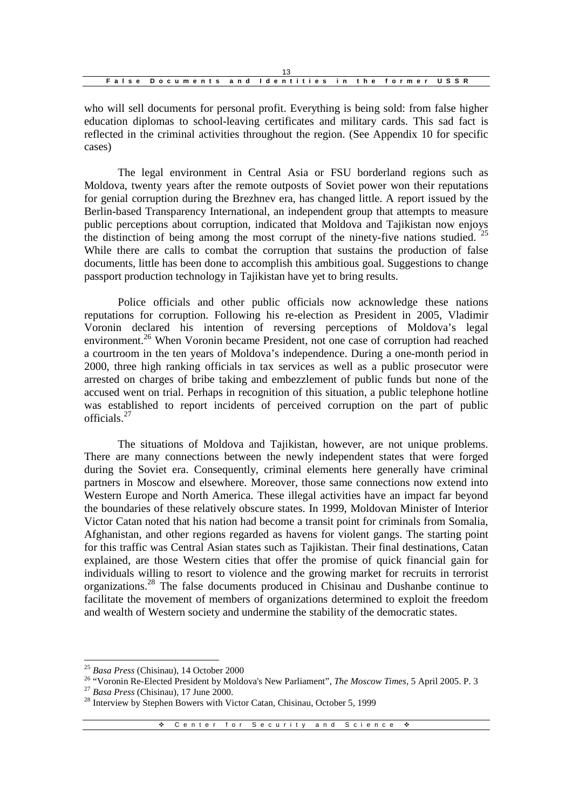| False Documents and Identities in the former USSR |  |  |  |
|---------------------------------------------------|--|--|--|

who will sell documents for personal profit. Everything is being sold: from false higher education diplomas to school-leaving certificates and military cards. This sad fact is reflected in the criminal activities throughout the region. (See Appendix 10 for specific cases)

The legal environment in Central Asia or FSU borderland regions such as Moldova, twenty years after the remote outposts of Soviet power won their reputations for genial corruption during the Brezhnev era, has changed little. A report issued by the Berlin-based Transparency International, an independent group that attempts to measure public perceptions about corruption, indicated that Moldova and Tajikistan now enjoys the distinction of being among the most corrupt of the ninety-five nations studied.<sup>25</sup> While there are calls to combat the corruption that sustains the production of false documents, little has been done to accomplish this ambitious goal. Suggestions to change passport production technology in Tajikistan have yet to bring results.

Police officials and other public officials now acknowledge these nations reputations for corruption. Following his re-election as President in 2005, Vladimir Voronin declared his intention of reversing perceptions of Moldova's legal environment.<sup>26</sup> When Voronin became President, not one case of corruption had reached a courtroom in the ten years of Moldova's independence. During a one-month period in 2000, three high ranking officials in tax services as well as a public prosecutor were arrested on charges of bribe taking and embezzlement of public funds but none of the accused went on trial. Perhaps in recognition of this situation, a public telephone hotline was established to report incidents of perceived corruption on the part of public officials.<sup>27</sup>

The situations of Moldova and Tajikistan, however, are not unique problems. There are many connections between the newly independent states that were forged during the Soviet era. Consequently, criminal elements here generally have criminal partners in Moscow and elsewhere. Moreover, those same connections now extend into Western Europe and North America. These illegal activities have an impact far beyond the boundaries of these relatively obscure states. In 1999, Moldovan Minister of Interior Victor Catan noted that his nation had become a transit point for criminals from Somalia, Afghanistan, and other regions regarded as havens for violent gangs. The starting point for this traffic was Central Asian states such as Tajikistan. Their final destinations, Catan explained, are those Western cities that offer the promise of quick financial gain for individuals willing to resort to violence and the growing market for recruits in terrorist organizations.<sup>28</sup> The false documents produced in Chisinau and Dushanbe continue to facilitate the movement of members of organizations determined to exploit the freedom and wealth of Western society and undermine the stability of the democratic states.

<sup>25</sup> *Basa Press* (Chisinau), 14 October 2000

<sup>26</sup> "Voronin Re-Elected President by Moldova's New Parliament", *The Moscow Times*, 5 April 2005. P. 3

<sup>27</sup> *Basa Press* (Chisinau), 17 June 2000.

<sup>&</sup>lt;sup>28</sup> Interview by Stephen Bowers with Victor Catan, Chisinau, October 5, 1999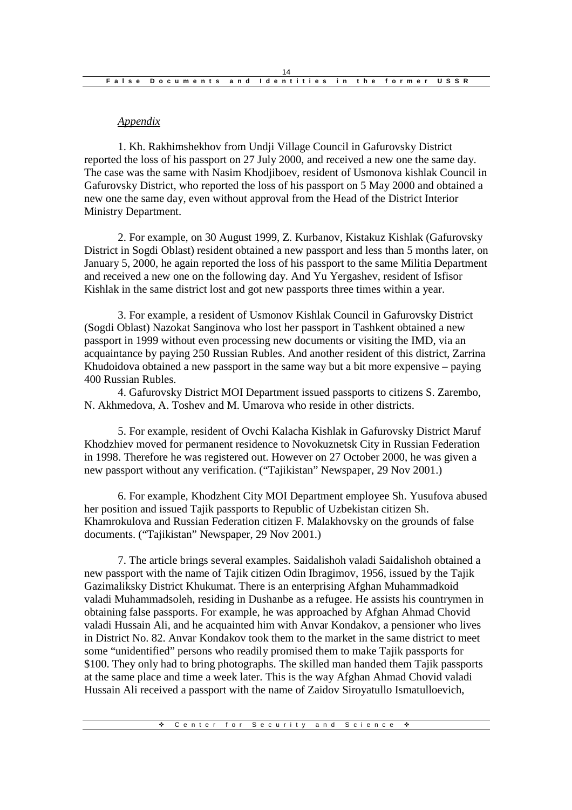## *Appendix*

1. Kh. Rakhimshekhov from Undji Village Council in Gafurovsky District reported the loss of his passport on 27 July 2000, and received a new one the same day. The case was the same with Nasim Khodjiboev, resident of Usmonova kishlak Council in Gafurovsky District, who reported the loss of his passport on 5 May 2000 and obtained a new one the same day, even without approval from the Head of the District Interior Ministry Department.

2. For example, on 30 August 1999, Z. Kurbanov, Kistakuz Kishlak (Gafurovsky District in Sogdi Oblast) resident obtained a new passport and less than 5 months later, on January 5, 2000, he again reported the loss of his passport to the same Militia Department and received a new one on the following day. And Yu Yergashev, resident of Isfisor Kishlak in the same district lost and got new passports three times within a year.

3. For example, a resident of Usmonov Kishlak Council in Gafurovsky District (Sogdi Oblast) Nazokat Sanginova who lost her passport in Tashkent obtained a new passport in 1999 without even processing new documents or visiting the IMD, via an acquaintance by paying 250 Russian Rubles. And another resident of this district, Zarrina Khudoidova obtained a new passport in the same way but a bit more expensive – paying 400 Russian Rubles.

4. Gafurovsky District MOI Department issued passports to citizens S. Zarembo, N. Akhmedova, A. Toshev and M. Umarova who reside in other districts.

5. For example, resident of Ovchi Kalacha Kishlak in Gafurovsky District Maruf Khodzhiev moved for permanent residence to Novokuznetsk City in Russian Federation in 1998. Therefore he was registered out. However on 27 October 2000, he was given a new passport without any verification. ("Tajikistan" Newspaper, 29 Nov 2001.)

6. For example, Khodzhent City MOI Department employee Sh. Yusufova abused her position and issued Tajik passports to Republic of Uzbekistan citizen Sh. Khamrokulova and Russian Federation citizen F. Malakhovsky on the grounds of false documents. ("Tajikistan" Newspaper, 29 Nov 2001.)

7. The article brings several examples. Saidalishoh valadi Saidalishoh obtained a new passport with the name of Tajik citizen Odin Ibragimov, 1956, issued by the Tajik Gazimaliksky District Khukumat. There is an enterprising Afghan Muhammadkoid valadi Muhammadsoleh, residing in Dushanbe as a refugee. He assists his countrymen in obtaining false passports. For example, he was approached by Afghan Ahmad Chovid valadi Hussain Ali, and he acquainted him with Anvar Kondakov, a pensioner who lives in District No. 82. Anvar Kondakov took them to the market in the same district to meet some "unidentified" persons who readily promised them to make Tajik passports for \$100. They only had to bring photographs. The skilled man handed them Tajik passports at the same place and time a week later. This is the way Afghan Ahmad Chovid valadi Hussain Ali received a passport with the name of Zaidov Siroyatullo Ismatulloevich,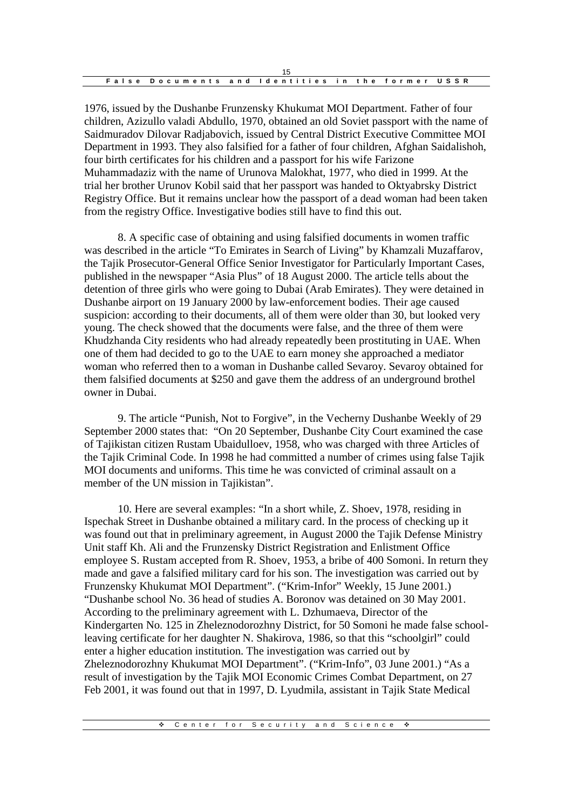| False Documents and Identities in the former USSR |  |  |  |
|---------------------------------------------------|--|--|--|

1976, issued by the Dushanbe Frunzensky Khukumat MOI Department. Father of four children, Azizullo valadi Abdullo, 1970, obtained an old Soviet passport with the name of Saidmuradov Dilovar Radjabovich, issued by Central District Executive Committee MOI Department in 1993. They also falsified for a father of four children, Afghan Saidalishoh, four birth certificates for his children and a passport for his wife Farizone Muhammadaziz with the name of Urunova Malokhat, 1977, who died in 1999. At the trial her brother Urunov Kobil said that her passport was handed to Oktyabrsky District Registry Office. But it remains unclear how the passport of a dead woman had been taken from the registry Office. Investigative bodies still have to find this out.

8. A specific case of obtaining and using falsified documents in women traffic was described in the article "To Emirates in Search of Living" by Khamzali Muzaffarov, the Tajik Prosecutor-General Office Senior Investigator for Particularly Important Cases, published in the newspaper "Asia Plus" of 18 August 2000. The article tells about the detention of three girls who were going to Dubai (Arab Emirates). They were detained in Dushanbe airport on 19 January 2000 by law-enforcement bodies. Their age caused suspicion: according to their documents, all of them were older than 30, but looked very young. The check showed that the documents were false, and the three of them were Khudzhanda City residents who had already repeatedly been prostituting in UAE. When one of them had decided to go to the UAE to earn money she approached a mediator woman who referred then to a woman in Dushanbe called Sevaroy. Sevaroy obtained for them falsified documents at \$250 and gave them the address of an underground brothel owner in Dubai.

9. The article "Punish, Not to Forgive", in the Vecherny Dushanbe Weekly of 29 September 2000 states that: "On 20 September, Dushanbe City Court examined the case of Tajikistan citizen Rustam Ubaidulloev, 1958, who was charged with three Articles of the Tajik Criminal Code. In 1998 he had committed a number of crimes using false Tajik MOI documents and uniforms. This time he was convicted of criminal assault on a member of the UN mission in Tajikistan".

10. Here are several examples: "In a short while, Z. Shoev, 1978, residing in Ispechak Street in Dushanbe obtained a military card. In the process of checking up it was found out that in preliminary agreement, in August 2000 the Tajik Defense Ministry Unit staff Kh. Ali and the Frunzensky District Registration and Enlistment Office employee S. Rustam accepted from R. Shoev, 1953, a bribe of 400 Somoni. In return they made and gave a falsified military card for his son. The investigation was carried out by Frunzensky Khukumat MOI Department". ("Krim-Infor" Weekly, 15 June 2001.) "Dushanbe school No. 36 head of studies A. Boronov was detained on 30 May 2001. According to the preliminary agreement with L. Dzhumaeva, Director of the Kindergarten No. 125 in Zheleznodorozhny District, for 50 Somoni he made false schoolleaving certificate for her daughter N. Shakirova, 1986, so that this "schoolgirl" could enter a higher education institution. The investigation was carried out by Zheleznodorozhny Khukumat MOI Department". ("Krim-Info", 03 June 2001.) "As a result of investigation by the Tajik MOI Economic Crimes Combat Department, on 27 Feb 2001, it was found out that in 1997, D. Lyudmila, assistant in Tajik State Medical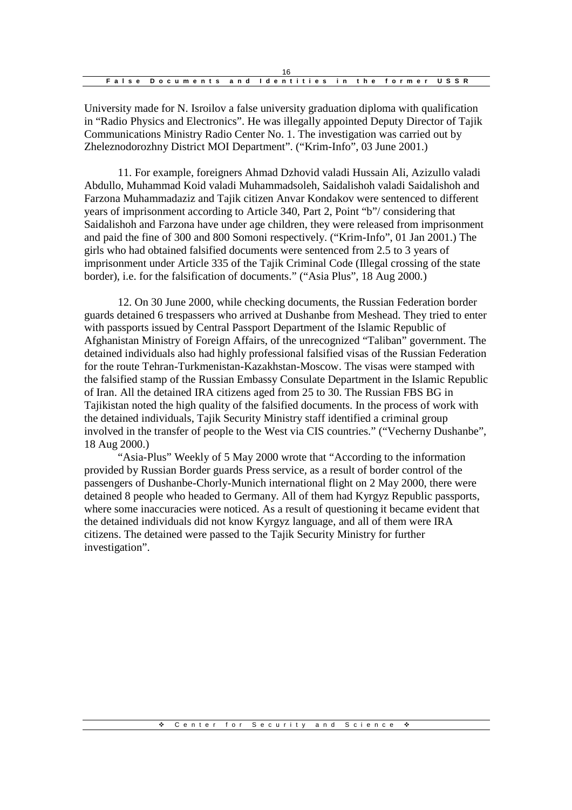| False Documents and Identities in the former USSR |  |  |  |
|---------------------------------------------------|--|--|--|

University made for N. Isroilov a false university graduation diploma with qualification in "Radio Physics and Electronics". He was illegally appointed Deputy Director of Tajik Communications Ministry Radio Center No. 1. The investigation was carried out by Zheleznodorozhny District MOI Department". ("Krim-Info", 03 June 2001.)

11. For example, foreigners Ahmad Dzhovid valadi Hussain Ali, Azizullo valadi Abdullo, Muhammad Koid valadi Muhammadsoleh, Saidalishoh valadi Saidalishoh and Farzona Muhammadaziz and Tajik citizen Anvar Kondakov were sentenced to different years of imprisonment according to Article 340, Part 2, Point "b"/ considering that Saidalishoh and Farzona have under age children, they were released from imprisonment and paid the fine of 300 and 800 Somoni respectively. ("Krim-Info", 01 Jan 2001.) The girls who had obtained falsified documents were sentenced from 2.5 to 3 years of imprisonment under Article 335 of the Tajik Criminal Code (Illegal crossing of the state border), i.e. for the falsification of documents." ("Asia Plus", 18 Aug 2000.)

12. On 30 June 2000, while checking documents, the Russian Federation border guards detained 6 trespassers who arrived at Dushanbe from Meshead. They tried to enter with passports issued by Central Passport Department of the Islamic Republic of Afghanistan Ministry of Foreign Affairs, of the unrecognized "Taliban" government. The detained individuals also had highly professional falsified visas of the Russian Federation for the route Tehran-Turkmenistan-Kazakhstan-Moscow. The visas were stamped with the falsified stamp of the Russian Embassy Consulate Department in the Islamic Republic of Iran. All the detained IRA citizens aged from 25 to 30. The Russian FBS BG in Tajikistan noted the high quality of the falsified documents. In the process of work with the detained individuals, Tajik Security Ministry staff identified a criminal group involved in the transfer of people to the West via CIS countries." ("Vecherny Dushanbe", 18 Aug 2000.)

"Asia-Plus" Weekly of 5 May 2000 wrote that "According to the information provided by Russian Border guards Press service, as a result of border control of the passengers of Dushanbe-Chorly-Munich international flight on 2 May 2000, there were detained 8 people who headed to Germany. All of them had Kyrgyz Republic passports, where some inaccuracies were noticed. As a result of questioning it became evident that the detained individuals did not know Kyrgyz language, and all of them were IRA citizens. The detained were passed to the Tajik Security Ministry for further investigation".